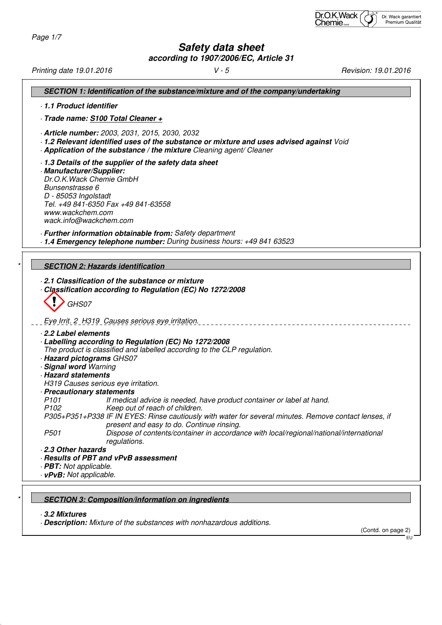# **Safety data sheet**

**according to 1907/2006/EC, Article 31**

| SECTION 1: Identification of the substance/mixture and of the company/undertaking<br>1.1 Product identifier<br>- Trade name: S100 Total Cleaner +<br>- Article number: 2003, 2031, 2015, 2030, 2032<br>- 1.2 Relevant identified uses of the substance or mixture and uses advised against Void<br>- Application of the substance / the mixture Cleaning agent/ Cleaner<br>1.3 Details of the supplier of the safety data sheet<br>· Manufacturer/Supplier:<br>Dr.O.K. Wack Chemie GmbH<br>Bunsenstrasse 6<br>D - 85053 Ingolstadt<br>Tel. +49 841-6350 Fax +49 841-63558<br>www.wackchem.com<br>wack.info@wackchem.com<br>· Further information obtainable from: Safety department<br>- 1.4 Emergency telephone number: During business hours: +49 841 63523<br><b>SECTION 2: Hazards identification</b><br>2.1 Classification of the substance or mixture<br>Classification according to Regulation (EC) No 1272/2008<br>GHS07<br>Eye Irrit. 2 H319 Causes serious eye irritation.<br>2.2 Label elements<br>- Labelling according to Regulation (EC) No 1272/2008<br>The product is classified and labelled according to the CLP regulation.<br>- Hazard pictograms GHS07<br>· Signal word Warning<br><b>Hazard statements</b><br>H319 Causes serious eye irritation.<br>· Precautionary statements<br>P101<br>If medical advice is needed, have product container or label at hand.<br>P <sub>102</sub><br>Keep out of reach of children.<br>P305+P351+P338 IF IN EYES: Rinse cautiously with water for several minutes. Remove contact lenses, if<br>present and easy to do. Continue rinsing.<br>P501<br>Dispose of contents/container in accordance with local/regional/national/international<br>regulations.<br>2.3 Other hazards<br>· Results of PBT and vPvB assessment<br>· <b>PBT:</b> Not applicable.<br>· vPvB: Not applicable. | Printing date 19.01.2016 | $V - 5$ | Revision: 19.01.2016 |
|-----------------------------------------------------------------------------------------------------------------------------------------------------------------------------------------------------------------------------------------------------------------------------------------------------------------------------------------------------------------------------------------------------------------------------------------------------------------------------------------------------------------------------------------------------------------------------------------------------------------------------------------------------------------------------------------------------------------------------------------------------------------------------------------------------------------------------------------------------------------------------------------------------------------------------------------------------------------------------------------------------------------------------------------------------------------------------------------------------------------------------------------------------------------------------------------------------------------------------------------------------------------------------------------------------------------------------------------------------------------------------------------------------------------------------------------------------------------------------------------------------------------------------------------------------------------------------------------------------------------------------------------------------------------------------------------------------------------------------------------------------------------------------------------------------------------------------------------------|--------------------------|---------|----------------------|
|                                                                                                                                                                                                                                                                                                                                                                                                                                                                                                                                                                                                                                                                                                                                                                                                                                                                                                                                                                                                                                                                                                                                                                                                                                                                                                                                                                                                                                                                                                                                                                                                                                                                                                                                                                                                                                               |                          |         |                      |
|                                                                                                                                                                                                                                                                                                                                                                                                                                                                                                                                                                                                                                                                                                                                                                                                                                                                                                                                                                                                                                                                                                                                                                                                                                                                                                                                                                                                                                                                                                                                                                                                                                                                                                                                                                                                                                               |                          |         |                      |
|                                                                                                                                                                                                                                                                                                                                                                                                                                                                                                                                                                                                                                                                                                                                                                                                                                                                                                                                                                                                                                                                                                                                                                                                                                                                                                                                                                                                                                                                                                                                                                                                                                                                                                                                                                                                                                               |                          |         |                      |
|                                                                                                                                                                                                                                                                                                                                                                                                                                                                                                                                                                                                                                                                                                                                                                                                                                                                                                                                                                                                                                                                                                                                                                                                                                                                                                                                                                                                                                                                                                                                                                                                                                                                                                                                                                                                                                               |                          |         |                      |
|                                                                                                                                                                                                                                                                                                                                                                                                                                                                                                                                                                                                                                                                                                                                                                                                                                                                                                                                                                                                                                                                                                                                                                                                                                                                                                                                                                                                                                                                                                                                                                                                                                                                                                                                                                                                                                               |                          |         |                      |
|                                                                                                                                                                                                                                                                                                                                                                                                                                                                                                                                                                                                                                                                                                                                                                                                                                                                                                                                                                                                                                                                                                                                                                                                                                                                                                                                                                                                                                                                                                                                                                                                                                                                                                                                                                                                                                               |                          |         |                      |
|                                                                                                                                                                                                                                                                                                                                                                                                                                                                                                                                                                                                                                                                                                                                                                                                                                                                                                                                                                                                                                                                                                                                                                                                                                                                                                                                                                                                                                                                                                                                                                                                                                                                                                                                                                                                                                               |                          |         |                      |
|                                                                                                                                                                                                                                                                                                                                                                                                                                                                                                                                                                                                                                                                                                                                                                                                                                                                                                                                                                                                                                                                                                                                                                                                                                                                                                                                                                                                                                                                                                                                                                                                                                                                                                                                                                                                                                               |                          |         |                      |
|                                                                                                                                                                                                                                                                                                                                                                                                                                                                                                                                                                                                                                                                                                                                                                                                                                                                                                                                                                                                                                                                                                                                                                                                                                                                                                                                                                                                                                                                                                                                                                                                                                                                                                                                                                                                                                               |                          |         |                      |
|                                                                                                                                                                                                                                                                                                                                                                                                                                                                                                                                                                                                                                                                                                                                                                                                                                                                                                                                                                                                                                                                                                                                                                                                                                                                                                                                                                                                                                                                                                                                                                                                                                                                                                                                                                                                                                               |                          |         |                      |
|                                                                                                                                                                                                                                                                                                                                                                                                                                                                                                                                                                                                                                                                                                                                                                                                                                                                                                                                                                                                                                                                                                                                                                                                                                                                                                                                                                                                                                                                                                                                                                                                                                                                                                                                                                                                                                               |                          |         |                      |
|                                                                                                                                                                                                                                                                                                                                                                                                                                                                                                                                                                                                                                                                                                                                                                                                                                                                                                                                                                                                                                                                                                                                                                                                                                                                                                                                                                                                                                                                                                                                                                                                                                                                                                                                                                                                                                               |                          |         |                      |
|                                                                                                                                                                                                                                                                                                                                                                                                                                                                                                                                                                                                                                                                                                                                                                                                                                                                                                                                                                                                                                                                                                                                                                                                                                                                                                                                                                                                                                                                                                                                                                                                                                                                                                                                                                                                                                               |                          |         |                      |

### **SECTION 3: Composition/information on ingredients**

· **3.2 Mixtures**

· **Description:** Mixture of the substances with nonhazardous additions.

(Contd. on page 2)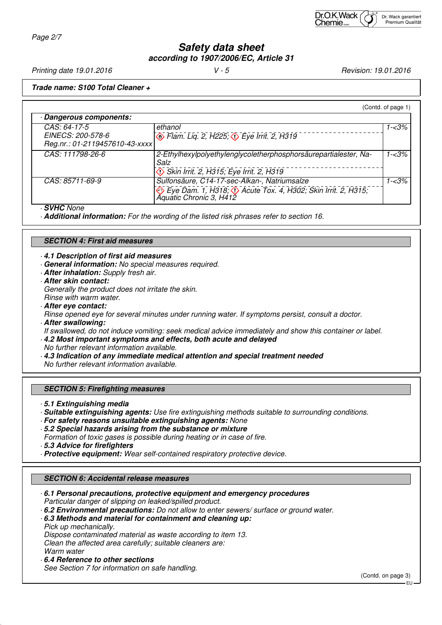### **Safety data sheet according to 1907/2006/EC, Article 31**

Printing date 19.01.2016 **V** - 5 **Principal State 19.01.2016** *V* - 5

**Trade name: S100 Total Cleaner +**

|                                                                     |                                                                                                                                                  | (Contd. of page 1) |
|---------------------------------------------------------------------|--------------------------------------------------------------------------------------------------------------------------------------------------|--------------------|
| Dangerous components:                                               |                                                                                                                                                  |                    |
| CAS: 64-17-5<br>EINECS: 200-578-6<br>Reg.nr.: 01-2119457610-43-xxxx | ethanol<br><b>B</b> Flam. Lig. 2, H225; $\circled{}$ Eye Irrit. 2, H319                                                                          | $1 - 3%$           |
| CAS: 111798-26-6                                                    | 2-Ethylhexylpolyethylenglycoletherphosphorsäurepartialester, Na-<br>Salz<br>Skin Irrit. 2, H315; Eye Irrit. 2, H319                              | $1 - 3%$           |
| CAS: 85711-69-9                                                     | Sulfonsäure, C14-17-sec-Alkan-, Natriumsalze<br>Eye Dam. 1, H318; $\Diamond$ Acute Tox. 4, H302; Skin Irrit. 2, H315;<br>Aquatic Chronic 3, H412 | $1 - 3%$           |

· **SVHC** None

· **Additional information:** For the wording of the listed risk phrases refer to section 16.

#### **SECTION 4: First aid measures**

· **4.1 Description of first aid measures**

- · **General information:** No special measures required.
- · **After inhalation:** Supply fresh air.
- · **After skin contact:**

Generally the product does not irritate the skin. Rinse with warm water.

· **After eye contact:**

Rinse opened eye for several minutes under running water. If symptoms persist, consult a doctor.

· **After swallowing:**

If swallowed, do not induce vomiting: seek medical advice immediately and show this container or label.

- · **4.2 Most important symptoms and effects, both acute and delayed** No further relevant information available.
- · **4.3 Indication of any immediate medical attention and special treatment needed**
- No further relevant information available.
- 

#### **SECTION 5: Firefighting measures**

· **5.1 Extinguishing media**

- · **Suitable extinguishing agents:** Use fire extinguishing methods suitable to surrounding conditions.
- · **For safety reasons unsuitable extinguishing agents:** None
- · **5.2 Special hazards arising from the substance or mixture** Formation of toxic gases is possible during heating or in case of fire.
- · **5.3 Advice for firefighters**
- · **Protective equipment:** Wear self-contained respiratory protective device.

#### **SECTION 6: Accidental release measures**

· **6.1 Personal precautions, protective equipment and emergency procedures** Particular danger of slipping on leaked/spilled product.

- · **6.2 Environmental precautions:** Do not allow to enter sewers/ surface or ground water.
- · **6.3 Methods and material for containment and cleaning up:** Pick up mechanically.

Dispose contaminated material as waste according to item 13. Clean the affected area carefully; suitable cleaners are: Warm water

· **6.4 Reference to other sections**

See Section 7 for information on safe handling.

(Contd. on page 3)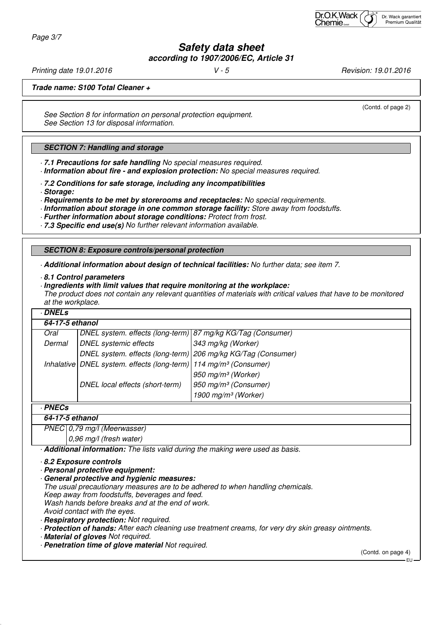Page 3/7

## **Safety data sheet according to 1907/2006/EC, Article 31**

Printing date 19.01.2016 **V** - 5 **Principal State 19.01.2016** *V* - 5

(Contd. of page 2)

**Trade name: S100 Total Cleaner +**

See Section 8 for information on personal protection equipment. See Section 13 for disposal information.

#### **SECTION 7: Handling and storage**

· **7.1 Precautions for safe handling** No special measures required.

· **Information about fire - and explosion protection:** No special measures required.

· **7.2 Conditions for safe storage, including any incompatibilities**

· **Storage:**

· **Requirements to be met by storerooms and receptacles:** No special requirements.

· **Information about storage in one common storage facility:** Store away from foodstuffs.

· **Further information about storage conditions:** Protect from frost.

· **7.3 Specific end use(s)** No further relevant information available.

**SECTION 8: Exposure controls/personal protection**

· **Additional information about design of technical facilities:** No further data; see item 7.

· **8.1 Control parameters**

· **Ingredients with limit values that require monitoring at the workplace:**

The product does not contain any relevant quantities of materials with critical values that have to be monitored at the workplace.

# · **DNELs 64-17-5 ethanol** Oral DNEL system. effects (long-term) 87 mg/kg KG/Tag (Consumer) Dermal DNEL systemic effects 343 mg/kg (Worker) DNEL system. effects (long-term) 206 mg/kg KG/Tag (Consumer) Inhalative DNEL system. effects (long-term)  $114$  mg/m<sup>3</sup> (Consumer) 950 mg/m³ (Worker) DNEL local effects (short-term)  $950$  mg/m<sup>3</sup> (Consumer) 1900 mg/m $3$  (Worker) · **PNECs 64-17-5 ethanol** PNEC 0.79 mg/l (Meerwasser) 0,96 mg/l (fresh water) · **Additional information:** The lists valid during the making were used as basis.

· **8.2 Exposure controls**

· **Personal protective equipment:**

· **General protective and hygienic measures:**

The usual precautionary measures are to be adhered to when handling chemicals.

Keep away from foodstuffs, beverages and feed.

Wash hands before breaks and at the end of work.

Avoid contact with the eyes.

· **Respiratory protection:** Not required.

· **Protection of hands:** After each cleaning use treatment creams, for very dry skin greasy ointments.

· **Material of gloves** Not required.

· **Penetration time of glove material** Not required.

(Contd. on page 4)

EU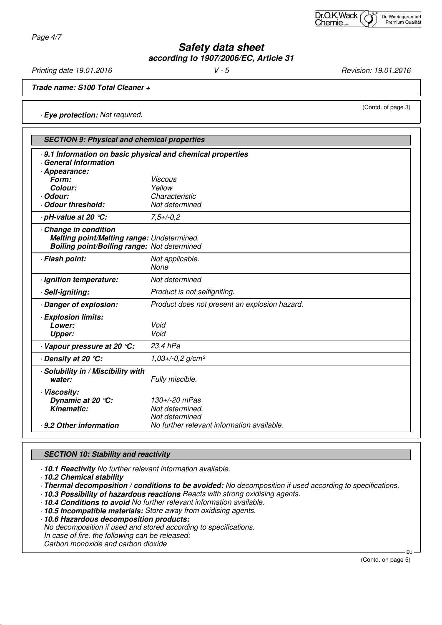Page 4/7

# **Safety data sheet according to 1907/2006/EC, Article 31**

Printing date 19.01.2016 **V** - 5 **V** - 5 **Revision: 19.01.2016** 

**Trade name: S100 Total Cleaner +**

· **Eye protection:** Not required.

| <b>SECTION 9: Physical and chemical properties</b>                                                                      |                                                                                                  |  |  |  |
|-------------------------------------------------------------------------------------------------------------------------|--------------------------------------------------------------------------------------------------|--|--|--|
| 9.1 Information on basic physical and chemical properties<br>General Information                                        |                                                                                                  |  |  |  |
| · Appearance:<br>Form:                                                                                                  | <b>Viscous</b>                                                                                   |  |  |  |
| Colour:                                                                                                                 | Yellow                                                                                           |  |  |  |
| · Odour:                                                                                                                | Characteristic                                                                                   |  |  |  |
| Odour threshold:                                                                                                        | Not determined                                                                                   |  |  |  |
| · pH-value at 20 ℃:                                                                                                     | $7.5 + (-0.2)$                                                                                   |  |  |  |
| Change in condition<br>Melting point/Melting range: Undetermined.<br><b>Boiling point/Boiling range: Not determined</b> |                                                                                                  |  |  |  |
| · Flash point:                                                                                                          | Not applicable.<br>None                                                                          |  |  |  |
| · Ignition temperature:                                                                                                 | Not determined                                                                                   |  |  |  |
| · Self-igniting:                                                                                                        | Product is not selfigniting.                                                                     |  |  |  |
| Danger of explosion:                                                                                                    | Product does not present an explosion hazard.                                                    |  |  |  |
| · Explosion limits:                                                                                                     |                                                                                                  |  |  |  |
| Lower:                                                                                                                  | Void                                                                                             |  |  |  |
| <b>Upper:</b>                                                                                                           | Void                                                                                             |  |  |  |
| Vapour pressure at 20 °C:                                                                                               | 23,4 hPa                                                                                         |  |  |  |
| . Density at 20 ℃:                                                                                                      | $1,03+/0,2$ g/cm <sup>3</sup>                                                                    |  |  |  |
| · Solubility in / Miscibility with<br>water:                                                                            | Fully miscible.                                                                                  |  |  |  |
| · Viscosity:<br>Dynamic at 20 °C:<br><b>Kinematic:</b><br>. 9.2 Other information                                       | 130+/-20 mPas<br>Not determined.<br>Not determined<br>No further relevant information available. |  |  |  |

### **SECTION 10: Stability and reactivity**

· **10.1 Reactivity** No further relevant information available.

· **10.2 Chemical stability**

· **Thermal decomposition / conditions to be avoided:** No decomposition if used according to specifications.

· **10.3 Possibility of hazardous reactions** Reacts with strong oxidising agents.

· **10.4 Conditions to avoid** No further relevant information available.

· **10.5 Incompatible materials:** Store away from oxidising agents.

· **10.6 Hazardous decomposition products:**

No decomposition if used and stored according to specifications.

In case of fire, the following can be released:

Carbon monoxide and carbon dioxide

(Contd. on page 5)

EU

(Contd. of page 3)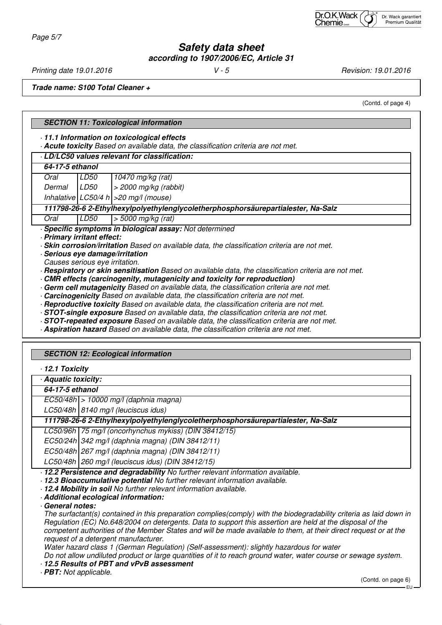### **Safety data sheet according to 1907/2006/EC, Article 31**

Printing date 19.01.2016 **V** - 5 **V** - 5 **Revision: 19.01.2016** 

**Trade name: S100 Total Cleaner +**

(Contd. of page 4)

|                                                                                                                               | <b>SECTION 11: Toxicological information</b>     |                                                                                                                                                                                      |  |  |
|-------------------------------------------------------------------------------------------------------------------------------|--------------------------------------------------|--------------------------------------------------------------------------------------------------------------------------------------------------------------------------------------|--|--|
| 11.1 Information on toxicological effects<br>Acute toxicity Based on available data, the classification criteria are not met. |                                                  |                                                                                                                                                                                      |  |  |
|                                                                                                                               |                                                  | LD/LC50 values relevant for classification:                                                                                                                                          |  |  |
| 64-17-5 ethanol                                                                                                               |                                                  |                                                                                                                                                                                      |  |  |
| Oral                                                                                                                          | LD <sub>50</sub>                                 | 10470 mg/kg (rat)                                                                                                                                                                    |  |  |
| Dermal                                                                                                                        | <b>LD50</b>                                      | $>$ 2000 mg/kg (rabbit)                                                                                                                                                              |  |  |
|                                                                                                                               |                                                  | Inhalative $ LC50/4 h  > 20$ mg/l (mouse)                                                                                                                                            |  |  |
|                                                                                                                               |                                                  | 111798-26-6 2-Ethylhexylpolyethylenglycoletherphosphorsäurepartialester, Na-Salz                                                                                                     |  |  |
| Oral                                                                                                                          | LD50                                             | $>$ 5000 mg/kg (rat)                                                                                                                                                                 |  |  |
|                                                                                                                               |                                                  | Specific symptoms in biological assay: Not determined                                                                                                                                |  |  |
| · Primary irritant effect:                                                                                                    |                                                  |                                                                                                                                                                                      |  |  |
|                                                                                                                               |                                                  | · Skin corrosion/irritation Based on available data, the classification criteria are not met.<br>· Serious eye damage/irritation                                                     |  |  |
|                                                                                                                               | Causes serious eye irritation.                   |                                                                                                                                                                                      |  |  |
|                                                                                                                               |                                                  | · Respiratory or skin sensitisation Based on available data, the classification criteria are not met.                                                                                |  |  |
|                                                                                                                               |                                                  | CMR effects (carcinogenity, mutagenicity and toxicity for reproduction)                                                                                                              |  |  |
|                                                                                                                               |                                                  | Germ cell mutagenicity Based on available data, the classification criteria are not met.<br><b>Carcinogenicity</b> Based on available data, the classification criteria are not met. |  |  |
|                                                                                                                               |                                                  | · Reproductive toxicity Based on available data, the classification criteria are not met.                                                                                            |  |  |
|                                                                                                                               |                                                  | - STOT-single exposure Based on available data, the classification criteria are not met.                                                                                             |  |  |
|                                                                                                                               |                                                  | · STOT-repeated exposure Based on available data, the classification criteria are not met.                                                                                           |  |  |
|                                                                                                                               |                                                  | Aspiration hazard Based on available data, the classification criteria are not met.                                                                                                  |  |  |
|                                                                                                                               |                                                  |                                                                                                                                                                                      |  |  |
|                                                                                                                               | <b>SECTION 12: Ecological information</b>        |                                                                                                                                                                                      |  |  |
| 12.1 Toxicity                                                                                                                 |                                                  |                                                                                                                                                                                      |  |  |
| Aquatic toxicity:                                                                                                             |                                                  |                                                                                                                                                                                      |  |  |
| 64-17-5 ethanol                                                                                                               |                                                  |                                                                                                                                                                                      |  |  |
| $EC50/48h$ > 10000 mg/l (daphnia magna)                                                                                       |                                                  |                                                                                                                                                                                      |  |  |
| LC50/48h   8140 mg/l (leuciscus idus)                                                                                         |                                                  |                                                                                                                                                                                      |  |  |
| 111798-26-6 2-Ethylhexylpolyethylenglycoletherphosphorsäurepartialester, Na-Salz                                              |                                                  |                                                                                                                                                                                      |  |  |
|                                                                                                                               |                                                  | LC50/96h   75 mg/l (oncorhynchus mykiss) (DIN 38412/15)                                                                                                                              |  |  |
|                                                                                                                               | EC50/24h 342 mg/l (daphnia magna) (DIN 38412/11) |                                                                                                                                                                                      |  |  |
|                                                                                                                               |                                                  |                                                                                                                                                                                      |  |  |

EC50/48h 267 mg/l (daphnia magna) (DIN 38412/11)

LC50/48h 260 mg/l (leuciscus idus) (DIN 38412/15)

· **12.2 Persistence and degradability** No further relevant information available.

· **12.3 Bioaccumulative potential** No further relevant information available.

· **12.4 Mobility in soil** No further relevant information available.

· **Additional ecological information:**

· **General notes:**

The surfactant(s) contained in this preparation complies(comply) with the biodegradability criteria as laid down in Regulation (EC) No.648/2004 on detergents. Data to support this assertion are held at the disposal of the competent authorities of the Member States and will be made available to them, at their direct request or at the request of a detergent manufacturer.

Water hazard class 1 (German Regulation) (Self-assessment): slightly hazardous for water

Do not allow undiluted product or large quantities of it to reach ground water, water course or sewage system.

· **12.5 Results of PBT and vPvB assessment**

· **PBT:** Not applicable.

(Contd. on page 6)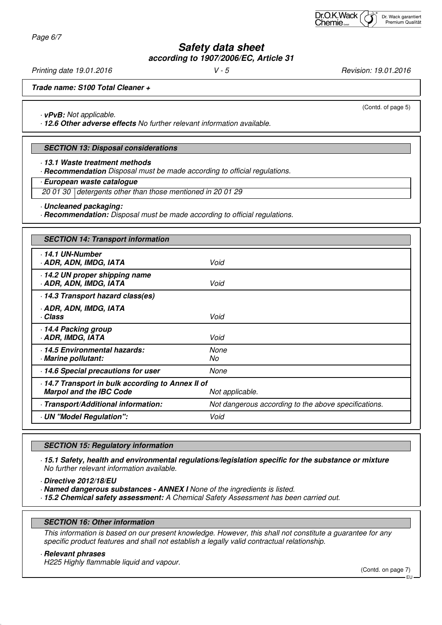Page 6/7

# **Safety data sheet according to 1907/2006/EC, Article 31**

Printing date 19.01.2016 **V** - 5 **Principal State 19.01.2016** *V* - 5

**Trade name: S100 Total Cleaner +**

· **vPvB:** Not applicable.

· **12.6 Other adverse effects** No further relevant information available.

#### **SECTION 13: Disposal considerations**

· **13.1 Waste treatment methods**

· **Recommendation** Disposal must be made according to official regulations.

· **European waste catalogue**

20 01 30 detergents other than those mentioned in 20 01 29

· **Uncleaned packaging:**

· **Recommendation:** Disposal must be made according to official regulations.

| <b>SECTION 14: Transport information</b>                                          |                                                      |  |  |
|-----------------------------------------------------------------------------------|------------------------------------------------------|--|--|
| $.14.1$ UN-Number<br>· ADR, ADN, IMDG, IATA                                       | Void                                                 |  |  |
| 14.2 UN proper shipping name<br>ADR, ADN, IMDG, IATA                              | Void                                                 |  |  |
| 14.3 Transport hazard class(es)                                                   |                                                      |  |  |
| · ADR, ADN, IMDG, IATA<br>· Class                                                 | Void                                                 |  |  |
| 14.4 Packing group<br><b>ADR, IMDG, IATA</b>                                      | Void                                                 |  |  |
| 14.5 Environmental hazards:<br>· Marine pollutant:                                | None<br>No                                           |  |  |
| 14.6 Special precautions for user                                                 | None                                                 |  |  |
| 14.7 Transport in bulk according to Annex II of<br><b>Marpol and the IBC Code</b> | Not applicable.                                      |  |  |
| - Transport/Additional information:                                               | Not dangerous according to the above specifications. |  |  |
| UN "Model Regulation":                                                            | Void                                                 |  |  |

#### **SECTION 15: Regulatory information**

· **15.1 Safety, health and environmental regulations/legislation specific for the substance or mixture** No further relevant information available.

· **Directive 2012/18/EU**

· **Named dangerous substances - ANNEX I** None of the ingredients is listed.

· **15.2 Chemical safety assessment:** A Chemical Safety Assessment has been carried out.

#### **SECTION 16: Other information**

This information is based on our present knowledge. However, this shall not constitute a guarantee for any specific product features and shall not establish a legally valid contractual relationship.

#### · **Relevant phrases**

H225 Highly flammable liquid and vapour.

(Contd. on page 7)

(Contd. of page 5)